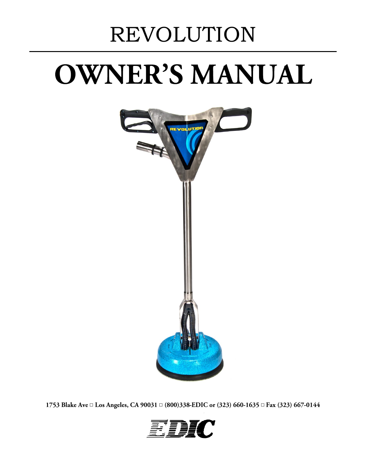# REVOLUTION

# **OWNER'S MANUAL**



1753 Blake Ave a Los Angeles, CA 90031 a (800)338-EDIC or (323) 660-1635 a Fax (323) 667-0144

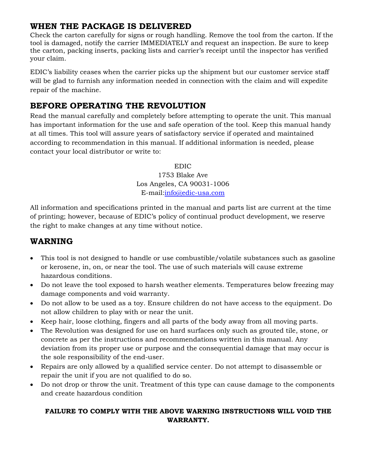#### **WHEN THE PACKAGE IS DELIVERED**

Check the carton carefully for signs or rough handling. Remove the tool from the carton. If the tool is damaged, notify the carrier IMMEDIATELY and request an inspection. Be sure to keep the carton, packing inserts, packing lists and carrier's receipt until the inspector has verified your claim.

EDIC's liability ceases when the carrier picks up the shipment but our customer service staff will be glad to furnish any information needed in connection with the claim and will expedite repair of the machine.

#### **BEFORE OPERATING THE REVOLUTION**

Read the manual carefully and completely before attempting to operate the unit. This manual has important information for the use and safe operation of the tool. Keep this manual handy at all times. This tool will assure years of satisfactory service if operated and maintained according to recommendation in this manual. If additional information is needed, please contact your local distributor or write to:

#### EDIC

1753 Blake Ave Los Angeles, CA 90031-1006 E-mail[:info@edic-usa.com](mailto:info@edic-usa.com)

All information and specifications printed in the manual and parts list are current at the time of printing; however, because of EDIC's policy of continual product development, we reserve the right to make changes at any time without notice.

# **WARNING**

- This tool is not designed to handle or use combustible/volatile substances such as gasoline or kerosene, in, on, or near the tool. The use of such materials will cause extreme hazardous conditions.
- Do not leave the tool exposed to harsh weather elements. Temperatures below freezing may damage components and void warranty.
- Do not allow to be used as a toy. Ensure children do not have access to the equipment. Do not allow children to play with or near the unit.
- Keep hair, loose clothing, fingers and all parts of the body away from all moving parts.
- The Revolution was designed for use on hard surfaces only such as grouted tile, stone, or concrete as per the instructions and recommendations written in this manual. Any deviation from its proper use or purpose and the consequential damage that may occur is the sole responsibility of the end-user.
- Repairs are only allowed by a qualified service center. Do not attempt to disassemble or repair the unit if you are not qualified to do so.
- Do not drop or throw the unit. Treatment of this type can cause damage to the components and create hazardous condition

#### **FAILURE TO COMPLY WITH THE ABOVE WARNING INSTRUCTIONS WILL VOID THE WARRANTY.**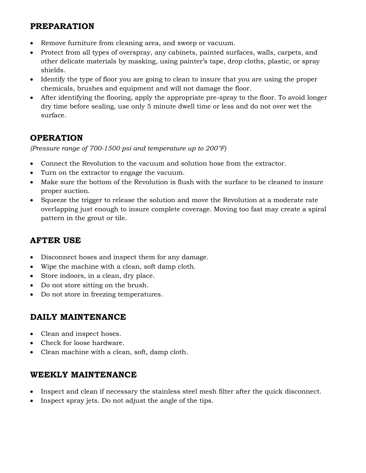#### **PREPARATION**

- Remove furniture from cleaning area, and sweep or vacuum.
- Protect from all types of overspray, any cabinets, painted surfaces, walls, carpets, and other delicate materials by masking, using painter's tape, drop cloths, plastic, or spray shields.
- Identify the type of floor you are going to clean to insure that you are using the proper chemicals, brushes and equipment and will not damage the floor.
- After identifying the flooring, apply the appropriate pre-spray to the floor. To avoid longer dry time before sealing, use only 5 minute dwell time or less and do not over wet the surface.

# **OPERATION**

*(Pressure range of 700-1500 psi and temperature up to 200°F)*

- Connect the Revolution to the vacuum and solution hose from the extractor.
- Turn on the extractor to engage the vacuum.
- Make sure the bottom of the Revolution is flush with the surface to be cleaned to insure proper suction.
- Squeeze the trigger to release the solution and move the Revolution at a moderate rate overlapping just enough to insure complete coverage. Moving too fast may create a spiral pattern in the grout or tile.

# **AFTER USE**

- Disconnect hoses and inspect them for any damage.
- Wipe the machine with a clean, soft damp cloth.
- Store indoors, in a clean, dry place.
- Do not store sitting on the brush.
- Do not store in freezing temperatures.

#### **DAILY MAINTENANCE**

- Clean and inspect hoses.
- Check for loose hardware.
- Clean machine with a clean, soft, damp cloth.

#### **WEEKLY MAINTENANCE**

- Inspect and clean if necessary the stainless steel mesh filter after the quick disconnect.
- Inspect spray jets. Do not adjust the angle of the tips.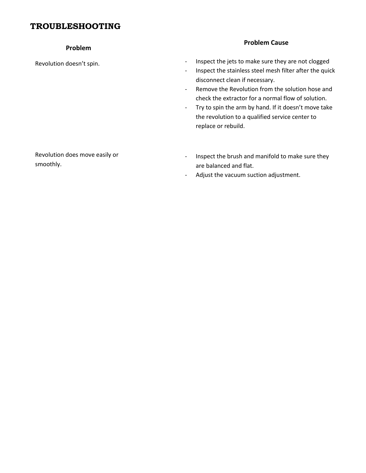#### **TROUBLESHOOTING**

#### **Problem**

Revolution doesn't spin.

#### **Problem Cause**

- Inspect the jets to make sure they are not clogged
- Inspect the stainless steel mesh filter after the quick disconnect clean if necessary.
- Remove the Revolution from the solution hose and check the extractor for a normal flow of solution.
- Try to spin the arm by hand. If it doesn't move take the revolution to a qualified service center to replace or rebuild.

Revolution does move easily or smoothly.

- Inspect the brush and manifold to make sure they are balanced and flat.
- Adjust the vacuum suction adjustment.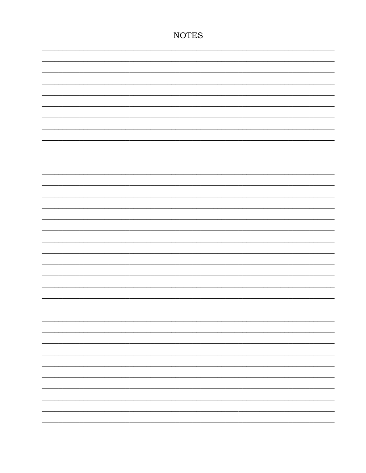# **NOTES**